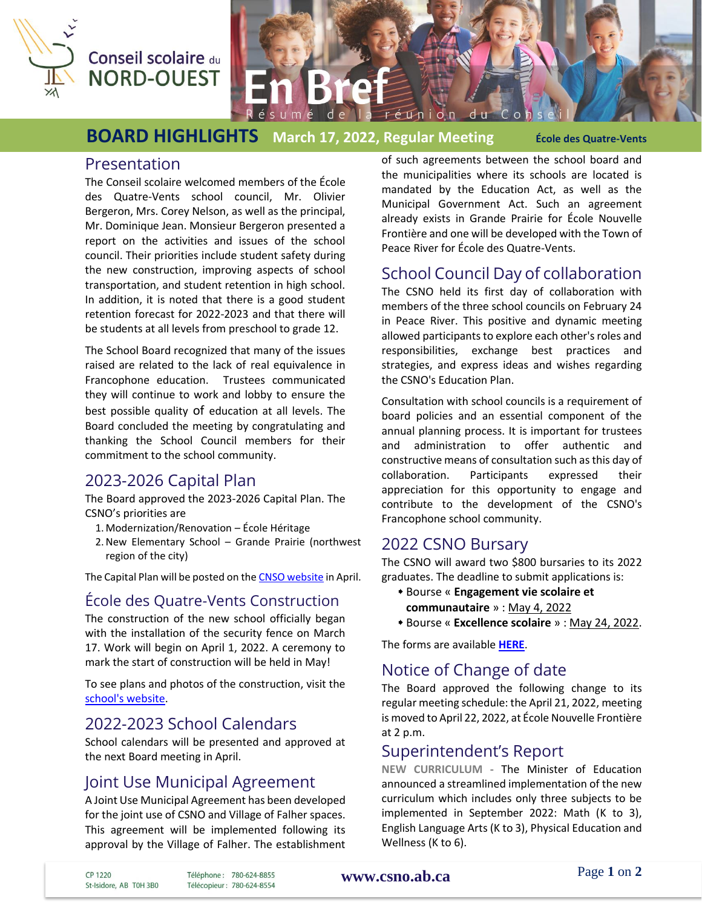

# Conseil scolaire du **NORD-OUEST**

**BOARD HIGHLIGHTS March 17, 2022, Regular Meeting École des Quatre-Vents**

de

#### Presentation

The Conseil scolaire welcomed members of the École des Quatre-Vents school council, Mr. Olivier Bergeron, Mrs. Corey Nelson, as well as the principal, Mr. Dominique Jean. Monsieur Bergeron presented a report on the activities and issues of the school council. Their priorities include student safety during the new construction, improving aspects of school transportation, and student retention in high school. In addition, it is noted that there is a good student retention forecast for 2022-2023 and that there will be students at all levels from preschool to grade 12.

The School Board recognized that many of the issues raised are related to the lack of real equivalence in Francophone education. Trustees communicated they will continue to work and lobby to ensure the best possible quality of education at all levels. The Board concluded the meeting by congratulating and thanking the School Council members for their commitment to the school community.

# 2023-2026 Capital Plan

The Board approved the 2023-2026 Capital Plan. The CSNO's priorities are

- 1. Modernization/Renovation École Héritage
- 2.New Elementary School Grande Prairie (northwest region of the city)

The Capital Plan will be posted on the CNSO [website](https://csno.ab.ca/le-conseil/publications/) in April.

#### École des Quatre-Vents Construction

The construction of the new school officially began with the installation of the security fence on March 17. Work will begin on April 1, 2022. A ceremony to mark the start of construction will be held in May!

To see plans and photos of the construction, visit the [school's website.](https://quatrevents.csno.ab.ca/lecole/nouvelle-construction-info/)

# 2022-2023 School Calendars

School calendars will be presented and approved at the next Board meeting in April.

#### Joint Use Municipal Agreement

A Joint Use Municipal Agreement has been developed for the joint use of CSNO and Village of Falher spaces. This agreement will be implemented following its approval by the Village of Falher. The establishment of such agreements between the school board and the municipalities where its schools are located is mandated by the Education Act, as well as the Municipal Government Act. Such an agreement already exists in Grande Prairie for École Nouvelle Frontière and one will be developed with the Town of Peace River for École des Quatre-Vents.

réunion du

### School Council Day of collaboration

The CSNO held its first day of collaboration with members of the three school councils on February 24 in Peace River. This positive and dynamic meeting allowed participants to explore each other's roles and responsibilities, exchange best practices and strategies, and express ideas and wishes regarding the CSNO's Education Plan.

Consultation with school councils is a requirement of board policies and an essential component of the annual planning process. It is important for trustees and administration to offer authentic and constructive means of consultation such as this day of collaboration. Participants expressed their appreciation for this opportunity to engage and contribute to the development of the CSNO's Francophone school community.

#### 2022 CSNO Bursary

The CSNO will award two \$800 bursaries to its 2022 graduates. The deadline to submit applications is:

- Bourse « **Engagement vie scolaire et communautaire** » : May 4, 2022
- Bourse « **Excellence scolaire** » : May 24, 2022.

The forms are available **[HERE](https://csno.ab.ca/services-et-programmes/bourses-csno/)**.

# Notice of Change of date

The Board approved the following change to its regular meeting schedule: the April 21, 2022, meeting is moved to April 22, 2022, at École Nouvelle Frontière at 2 p.m.

# Superintendent's Report

**NEW CURRICULUM -** The Minister of Education announced a streamlined implementation of the new curriculum which includes only three subjects to be implemented in September 2022: Math (K to 3), English Language Arts (K to 3), Physical Education and Wellness (K to 6).

CP 1220 St-Isidore, AB T0H 3B0

Téléphone: 780-624-8855 Télécopieur: 780-624-8554

#### **[www.csno.ab.ca](file://///CSNOServer/Usager/racber/Desktop/CSNO%20-%20Rachelle/En%20Bref/2010-2011/www.csno.ab.ca)**